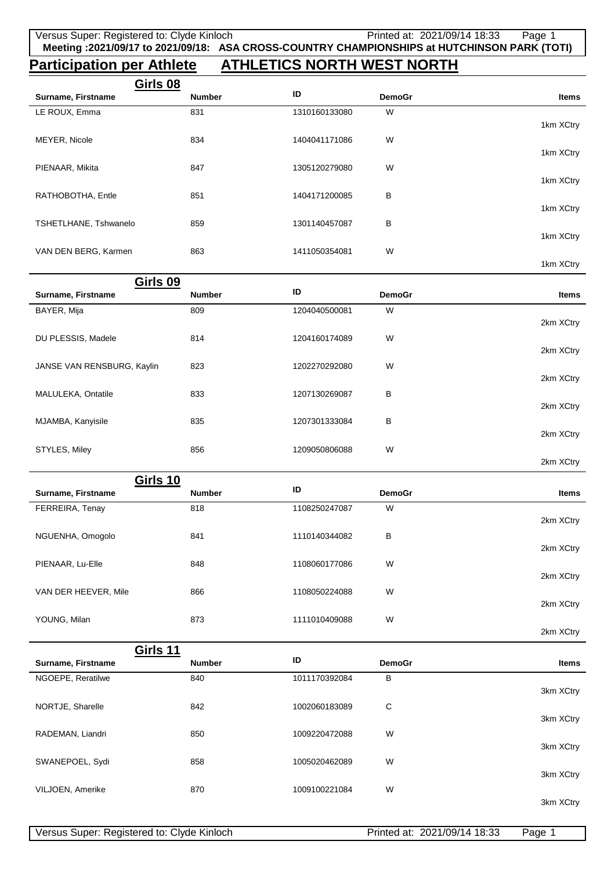## **Participation per Athlete ATHLETICS NORTH WEST NORTH**

| Girls 08              |               |               |               |           |
|-----------------------|---------------|---------------|---------------|-----------|
| Surname, Firstname    | <b>Number</b> | ID            | <b>DemoGr</b> | Items     |
| LE ROUX, Emma         | 831           | 1310160133080 | W             |           |
|                       |               |               |               | 1km XCtry |
| MEYER, Nicole         | 834           | 1404041171086 | W             |           |
|                       |               |               |               | 1km XCtry |
| PIENAAR, Mikita       | 847           | 1305120279080 | W             |           |
|                       |               |               |               | 1km XCtry |
| RATHOBOTHA, Entle     | 851           | 1404171200085 | В             |           |
|                       |               |               |               | 1km XCtry |
| TSHETLHANE, Tshwanelo | 859           | 1301140457087 | В             | 1km XCtry |
|                       |               |               |               |           |
| VAN DEN BERG, Karmen  | 863           | 1411050354081 | W             | 1km XCtry |
|                       |               |               |               |           |

| Girls 09                   |               |               |               |              |
|----------------------------|---------------|---------------|---------------|--------------|
| Surname, Firstname         | <b>Number</b> | ID            | <b>DemoGr</b> | <b>Items</b> |
| BAYER, Mija                | 809           | 1204040500081 | W             |              |
|                            |               |               |               | 2km XCtry    |
| DU PLESSIS, Madele         | 814           | 1204160174089 | W             |              |
|                            |               |               |               | 2km XCtry    |
| JANSE VAN RENSBURG, Kaylin | 823           | 1202270292080 | W             |              |
|                            |               |               |               | 2km XCtry    |
| MALULEKA, Ontatile         | 833           | 1207130269087 | B             |              |
|                            |               |               |               | 2km XCtry    |
| MJAMBA, Kanyisile          | 835           | 1207301333084 | B             |              |
|                            |               |               |               | 2km XCtry    |
| STYLES, Miley              | 856           | 1209050806088 | W             |              |
|                            |               |               |               | 2km XCtry    |

| Girls 10             |               |               |               |              |
|----------------------|---------------|---------------|---------------|--------------|
| Surname, Firstname   | <b>Number</b> | ID            | <b>DemoGr</b> | <b>Items</b> |
| FERREIRA, Tenay      | 818           | 1108250247087 | W             |              |
|                      |               |               |               | 2km XCtry    |
| NGUENHA, Omogolo     | 841           | 1110140344082 | в             |              |
|                      |               |               |               | 2km XCtry    |
| PIENAAR, Lu-Elle     | 848           | 1108060177086 | W             |              |
|                      |               |               |               | 2km XCtry    |
| VAN DER HEEVER, Mile | 866           | 1108050224088 | W             |              |
|                      |               |               |               | 2km XCtry    |
| YOUNG, Milan         | 873           | 1111010409088 | W             |              |

|                    | Girls 11      |               |               |              |
|--------------------|---------------|---------------|---------------|--------------|
| Surname, Firstname | <b>Number</b> | ID            | <b>DemoGr</b> | <b>Items</b> |
| NGOEPE, Reratilwe  | 840           | 1011170392084 | в             |              |
|                    |               |               |               | 3km XCtry    |
| NORTJE, Sharelle   | 842           | 1002060183089 | С             |              |
|                    |               |               |               | 3km XCtry    |
| RADEMAN, Liandri   | 850           | 1009220472088 | W             |              |
|                    |               |               |               | 3km XCtry    |
| SWANEPOEL, Sydi    | 858           | 1005020462089 | W             | 3km XCtry    |
|                    | 870           | 1009100221084 | W             |              |
| VILJOEN, Amerike   |               |               |               | 3km XCtry    |

2km XCtry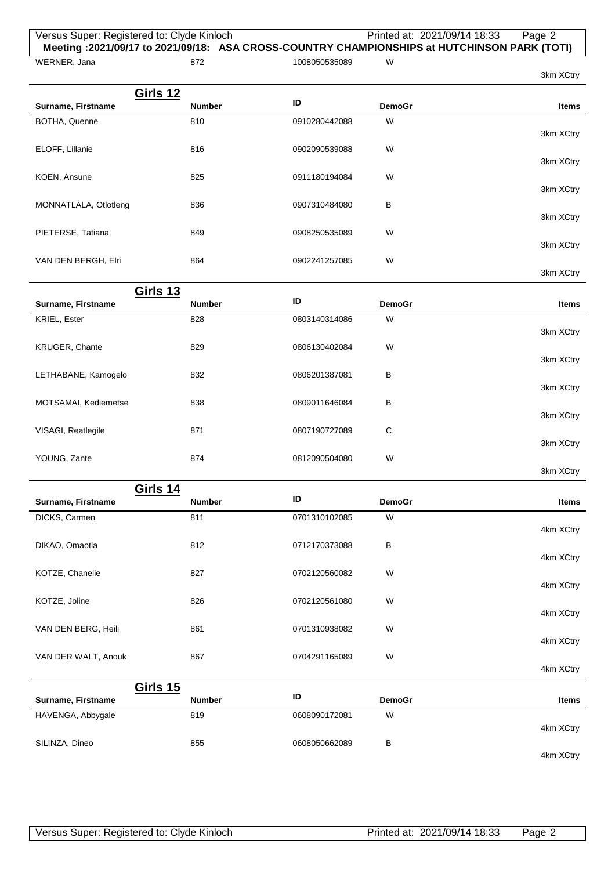| 3km XCtry<br><b>Items</b><br>3km XCtry |
|----------------------------------------|
|                                        |
|                                        |
|                                        |
|                                        |
|                                        |
| 3km XCtry                              |
|                                        |
| 3km XCtry                              |
| 3km XCtry                              |
|                                        |
| 3km XCtry                              |
|                                        |
| 3km XCtry                              |
|                                        |
| <b>Items</b>                           |
| 3km XCtry                              |
|                                        |
| 3km XCtry                              |
|                                        |
| 3km XCtry                              |
| 3km XCtry                              |
|                                        |
| 3km XCtry                              |
|                                        |
| 3km XCtry                              |
| <b>Items</b>                           |
|                                        |
| 4km XCtry                              |
|                                        |
| 4km XCtry                              |
| 4km XCtry                              |
|                                        |
| 4km XCtry                              |
|                                        |
| 4km XCtry                              |
| 4km XCtry                              |
|                                        |
|                                        |
| <b>Items</b>                           |
|                                        |
| 4km XCtry                              |
|                                        |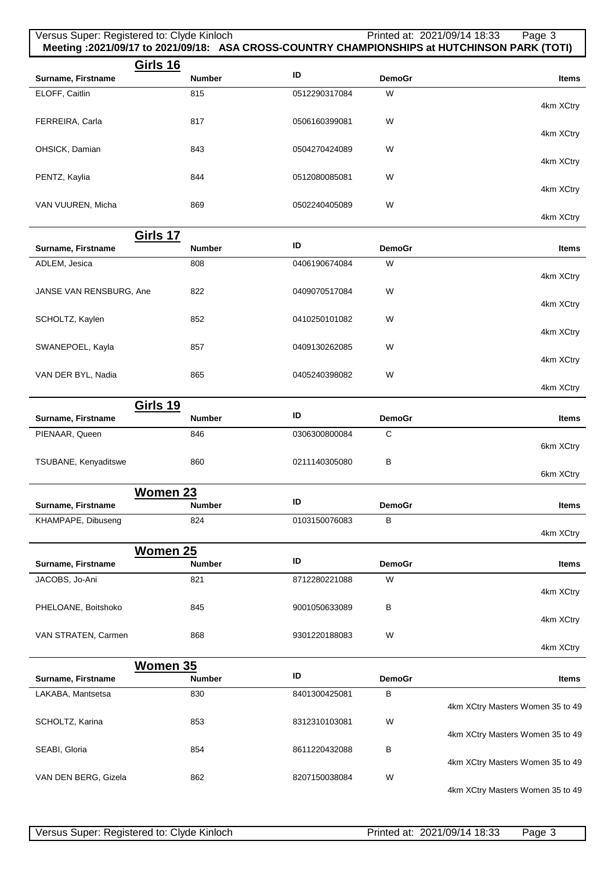|                         | Versus Super: Registered to: Clyde Kinloch |               |               | Printed at: 2021/09/14 18:33<br>Page 3<br>Meeting : 2021/09/17 to 2021/09/18: ASA CROSS-COUNTRY CHAMPIONSHIPS at HUTCHINSON PARK (TOTI) |
|-------------------------|--------------------------------------------|---------------|---------------|-----------------------------------------------------------------------------------------------------------------------------------------|
|                         | <b>Girls 16</b>                            |               |               |                                                                                                                                         |
| Surname, Firstname      | <b>Number</b>                              | ID            | <b>DemoGr</b> | <b>Items</b>                                                                                                                            |
| ELOFF, Caitlin          | 815                                        | 0512290317084 | W             |                                                                                                                                         |
|                         |                                            |               |               | 4km XCtry                                                                                                                               |
| FERREIRA, Carla         | 817                                        | 0506160399081 | W             | 4km XCtry                                                                                                                               |
| OHSICK, Damian          | 843                                        | 0504270424089 | W             |                                                                                                                                         |
|                         |                                            |               |               | 4km XCtry                                                                                                                               |
| PENTZ, Kaylia           | 844                                        | 0512080085081 | W             |                                                                                                                                         |
|                         |                                            |               |               | 4km XCtry                                                                                                                               |
| VAN VUUREN, Micha       | 869                                        | 0502240405089 | W             |                                                                                                                                         |
|                         |                                            |               |               | 4km XCtry                                                                                                                               |
| Surname, Firstname      | <b>Girls 17</b><br><b>Number</b>           | ID            | <b>DemoGr</b> | <b>Items</b>                                                                                                                            |
|                         | 808                                        | 0406190674084 | W             |                                                                                                                                         |
| ADLEM, Jesica           |                                            |               |               | 4km XCtry                                                                                                                               |
| JANSE VAN RENSBURG, Ane | 822                                        | 0409070517084 | W             |                                                                                                                                         |
|                         |                                            |               |               | 4km XCtry                                                                                                                               |
| SCHOLTZ, Kaylen         | 852                                        | 0410250101082 | W             |                                                                                                                                         |
|                         |                                            |               |               | 4km XCtry                                                                                                                               |
| SWANEPOEL, Kayla        | 857                                        | 0409130262085 | W             | 4km XCtry                                                                                                                               |
| VAN DER BYL, Nadia      | 865                                        | 0405240398082 | W             |                                                                                                                                         |
|                         |                                            |               |               | 4km XCtry                                                                                                                               |
|                         | <b>Girls 19</b>                            |               |               |                                                                                                                                         |
| Surname, Firstname      | <b>Number</b>                              | ID            | <b>DemoGr</b> | <b>Items</b>                                                                                                                            |
| PIENAAR, Queen          | 846                                        | 0306300800084 | C             |                                                                                                                                         |
|                         |                                            |               |               | 6km XCtry                                                                                                                               |
| TSUBANE, Kenyaditswe    | 860                                        | 0211140305080 | B             |                                                                                                                                         |
|                         |                                            |               |               | 6km XCtry                                                                                                                               |
| Surname, Firstname      | <b>Women 23</b><br><b>Number</b>           | ID            | <b>DemoGr</b> | <b>Items</b>                                                                                                                            |
| KHAMPAPE, Dibuseng      | 824                                        | 0103150076083 | В             |                                                                                                                                         |
|                         |                                            |               |               | 4km XCtry                                                                                                                               |
|                         | Women 25                                   |               |               |                                                                                                                                         |
| Surname, Firstname      | <b>Number</b>                              | ID            | <b>DemoGr</b> | <b>Items</b>                                                                                                                            |
| JACOBS, Jo-Ani          | 821                                        | 8712280221088 | W             |                                                                                                                                         |
|                         |                                            |               |               | 4km XCtry                                                                                                                               |
| PHELOANE, Boitshoko     | 845                                        | 9001050633089 | В             | 4km XCtry                                                                                                                               |
| VAN STRATEN, Carmen     | 868                                        | 9301220188083 | W             |                                                                                                                                         |
|                         |                                            |               |               | 4km XCtry                                                                                                                               |
|                         | Women 35                                   |               |               |                                                                                                                                         |
| Surname, Firstname      | <b>Number</b>                              | ID            | <b>DemoGr</b> | <b>Items</b>                                                                                                                            |
| LAKABA, Mantsetsa       | 830                                        | 8401300425081 | В             |                                                                                                                                         |
|                         |                                            |               |               | 4km XCtry Masters Women 35 to 49                                                                                                        |
| SCHOLTZ, Karina         | 853                                        | 8312310103081 | W             |                                                                                                                                         |

854 8611220432088 B

862 8207150038084 W

4km XCtry Masters Women 35 to 49

4km XCtry Masters Women 35 to 49

4km XCtry Masters Women 35 to 49

SEABI, Gloria

VAN DEN BERG, Gizela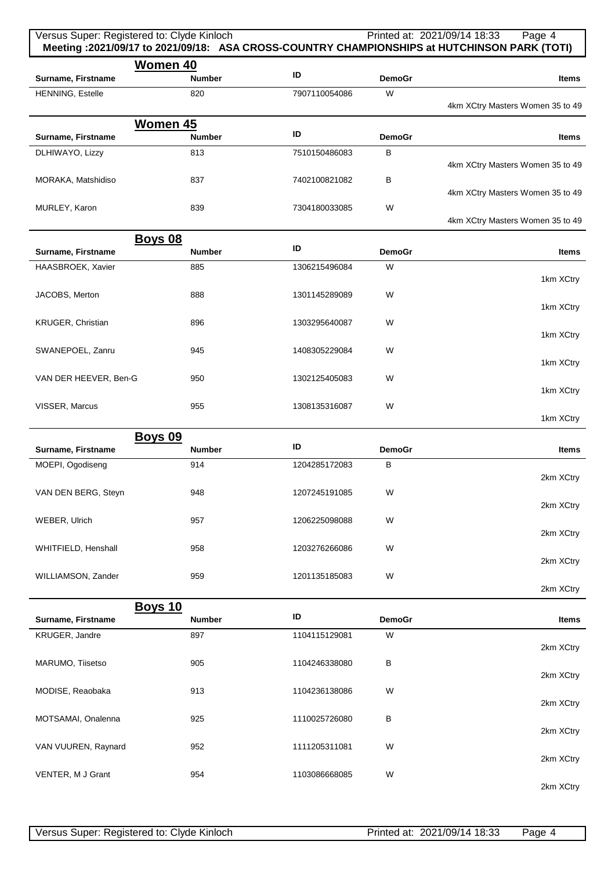| Versus Super: Registered to: Clyde Kinloch |               |               |                    | Printed at: 2021/09/14 18:33<br>Page 4<br>Meeting :2021/09/17 to 2021/09/18: ASA CROSS-COUNTRY CHAMPIONSHIPS at HUTCHINSON PARK (TOTI) |
|--------------------------------------------|---------------|---------------|--------------------|----------------------------------------------------------------------------------------------------------------------------------------|
| <b>Women 40</b><br>Surname, Firstname      | <b>Number</b> | ID            | <b>DemoGr</b>      | Items                                                                                                                                  |
| HENNING, Estelle                           | 820           | 7907110054086 | W                  | 4km XCtry Masters Women 35 to 49                                                                                                       |
| <b>Women 45</b><br>Surname, Firstname      | <b>Number</b> | ID            | <b>DemoGr</b>      | <b>Items</b>                                                                                                                           |
| DLHIWAYO, Lizzy                            | 813           | 7510150486083 | B                  | 4km XCtry Masters Women 35 to 49                                                                                                       |
| MORAKA, Matshidiso                         | 837           | 7402100821082 | В                  | 4km XCtry Masters Women 35 to 49                                                                                                       |
| MURLEY, Karon                              | 839           | 7304180033085 | W                  | 4km XCtry Masters Women 35 to 49                                                                                                       |
| <b>Boys 08</b><br>Surname, Firstname       | <b>Number</b> | ID            | <b>DemoGr</b>      | <b>Items</b>                                                                                                                           |
| HAASBROEK, Xavier                          | 885           | 1306215496084 | W                  | 1km XCtry                                                                                                                              |
| JACOBS, Merton                             | 888           | 1301145289089 | W                  | 1km XCtry                                                                                                                              |
| KRUGER, Christian                          | 896           | 1303295640087 | W                  | 1km XCtry                                                                                                                              |
| SWANEPOEL, Zanru                           | 945           | 1408305229084 | W                  | 1km XCtry                                                                                                                              |
| VAN DER HEEVER, Ben-G                      | 950           | 1302125405083 | W                  | 1km XCtry                                                                                                                              |
| VISSER, Marcus                             | 955           | 1308135316087 | W                  | 1km XCtry                                                                                                                              |
| <b>Boys 09</b>                             |               |               |                    |                                                                                                                                        |
| Surname, Firstname                         | <b>Number</b> | ID            | <b>DemoGr</b>      | <b>Items</b>                                                                                                                           |
| MOEPI, Ogodiseng                           | 914           | 1204285172083 | B                  | 2km XCtry                                                                                                                              |
| VAN DEN BERG, Steyn                        | 948           | 1207245191085 | W                  | 2km XCtry                                                                                                                              |
| WEBER, Ulrich                              | 957           | 1206225098088 | W                  | 2km XCtry                                                                                                                              |
| WHITFIELD, Henshall                        | 958           | 1203276266086 | W                  | 2km XCtry                                                                                                                              |
| WILLIAMSON, Zander                         | 959           | 1201135185083 | W                  | 2km XCtry                                                                                                                              |
| <b>Boys 10</b>                             |               | ID            |                    |                                                                                                                                        |
| Surname, Firstname                         | <b>Number</b> |               | <b>DemoGr</b><br>W | Items                                                                                                                                  |
| KRUGER, Jandre                             | 897           | 1104115129081 |                    | 2km XCtry                                                                                                                              |
| MARUMO, Tiisetso                           | 905           | 1104246338080 | В                  | 2km XCtry                                                                                                                              |
| MODISE, Reaobaka                           | 913           | 1104236138086 | W                  | 2km XCtry                                                                                                                              |
| MOTSAMAI, Onalenna                         | 925           | 1110025726080 | В                  | 2km XCtry                                                                                                                              |
| VAN VUUREN, Raynard                        | 952           | 1111205311081 | W                  | 2km XCtry                                                                                                                              |
| VENTER, M J Grant                          | 954           | 1103086668085 | W                  | 2km XCtry                                                                                                                              |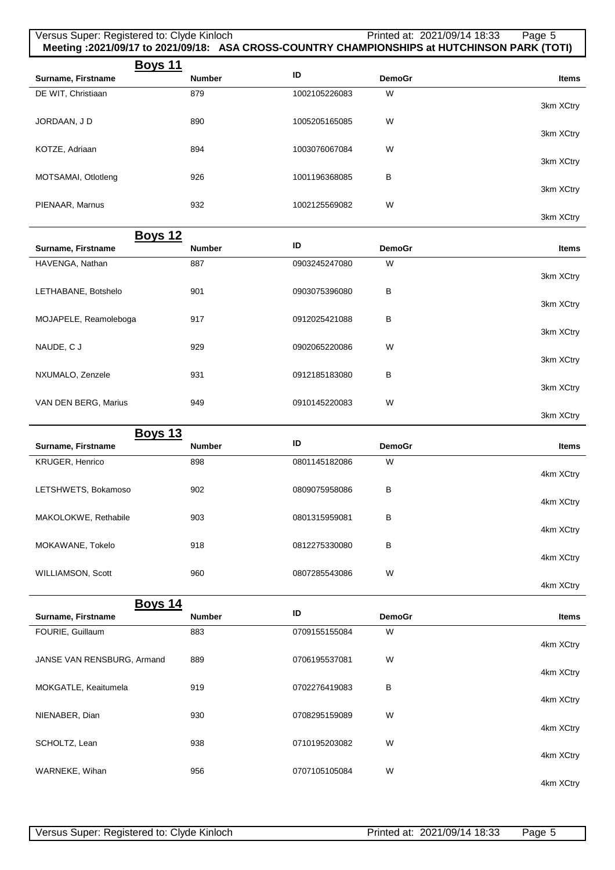| Versus Super: Registered to: Clyde Kinloch |               | Meeting :2021/09/17 to 2021/09/18: ASA CROSS-COUNTRY CHAMPIONSHIPS at HUTCHINSON PARK (TOTI) | Printed at: 2021/09/14 18:33 | Page 5       |
|--------------------------------------------|---------------|----------------------------------------------------------------------------------------------|------------------------------|--------------|
|                                            | Boys 11       |                                                                                              |                              |              |
| Surname, Firstname                         | <b>Number</b> | ID                                                                                           | <b>DemoGr</b>                | <b>Items</b> |
| DE WIT, Christiaan                         | 879           | 1002105226083                                                                                | W                            |              |
|                                            |               |                                                                                              |                              | 3km XCtry    |
| JORDAAN, J D                               | 890           | 1005205165085                                                                                | W                            |              |
|                                            |               |                                                                                              |                              | 3km XCtry    |
| KOTZE, Adriaan                             | 894           | 1003076067084                                                                                | W                            |              |
|                                            |               |                                                                                              |                              | 3km XCtry    |
| MOTSAMAI, Otlotleng                        | 926           | 1001196368085                                                                                | B                            |              |
|                                            |               |                                                                                              |                              | 3km XCtry    |
| PIENAAR, Marnus                            | 932           | 1002125569082                                                                                | W                            |              |
|                                            |               |                                                                                              |                              | 3km XCtry    |
|                                            | Boys 12       |                                                                                              |                              |              |

| ____<br>Surname, Firstname | <b>Number</b> | ID            | <b>DemoGr</b> | <b>Items</b> |
|----------------------------|---------------|---------------|---------------|--------------|
| HAVENGA, Nathan            | 887           | 0903245247080 | W             |              |
|                            |               |               |               | 3km XCtry    |
| LETHABANE, Botshelo        | 901           | 0903075396080 | В             |              |
|                            |               |               |               | 3km XCtry    |
| MOJAPELE, Reamoleboga      | 917           | 0912025421088 | В             |              |
|                            |               |               |               | 3km XCtry    |
| NAUDE, C J                 | 929           | 0902065220086 | W             |              |
|                            |               |               |               | 3km XCtry    |
| NXUMALO, Zenzele           | 931           | 0912185183080 | В             |              |
|                            |               |               |               | 3km XCtry    |
| VAN DEN BERG, Marius       | 949           | 0910145220083 | W             |              |

| <b>Boys 13</b>             |               |               |               |              |
|----------------------------|---------------|---------------|---------------|--------------|
| Surname, Firstname         | <b>Number</b> | ID            | <b>DemoGr</b> | <b>Items</b> |
| KRUGER, Henrico            | 898           | 0801145182086 | W             |              |
|                            |               |               |               | 4km XCtry    |
| LETSHWETS, Bokamoso        | 902           | 0809075958086 | в             |              |
|                            |               |               |               | 4km XCtry    |
| MAKOLOKWE, Rethabile       | 903           | 0801315959081 | в             |              |
|                            |               |               |               | 4km XCtry    |
| MOKAWANE, Tokelo           | 918           | 0812275330080 | B             |              |
|                            |               |               |               | 4km XCtry    |
| WILLIAMSON, Scott          | 960           | 0807285543086 | W             |              |
|                            |               |               |               | 4km XCtry    |
|                            |               |               |               |              |
| Boys 14                    |               |               |               |              |
| Surname, Firstname         | <b>Number</b> | ID            | <b>DemoGr</b> | <b>Items</b> |
| FOURIE, Guillaum           | 883           | 0709155155084 | W             |              |
|                            |               |               |               | 4km XCtry    |
| JANSE VAN RENSBURG, Armand | 889           | 0706195537081 | W             |              |
|                            |               |               |               | 4km XCtry    |
| MOKGATLE, Keaitumela       | 919           | 0702276419083 | в             |              |
|                            |               |               |               | 4km XCtry    |
| NIENABER, Dian             | 930           | 0708295159089 | W             |              |
|                            |               |               |               | 4km XCtry    |
| SCHOLTZ, Lean              | 938           | 0710195203082 | W             |              |
| WARNEKE, Wihan             | 956           | 0707105105084 | W             | 4km XCtry    |

3km XCtry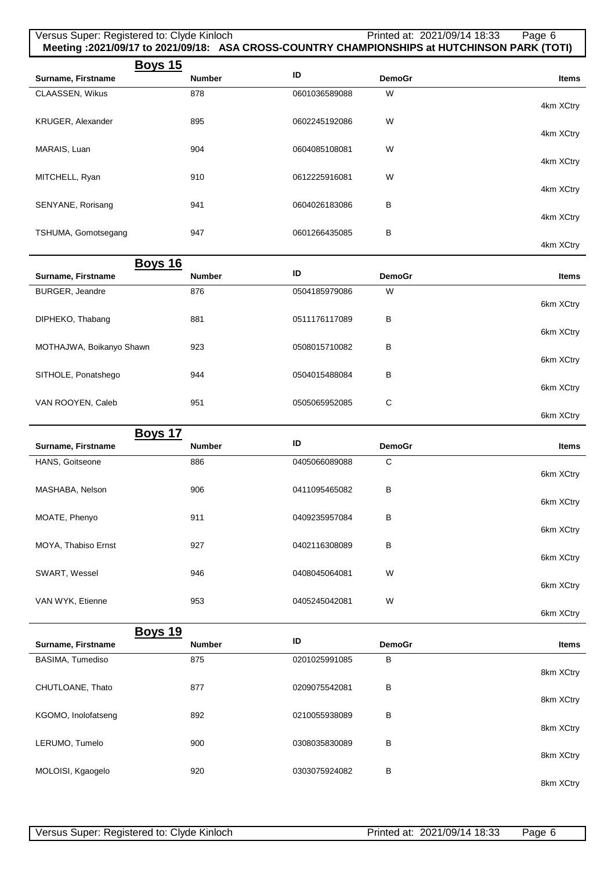| Versus Super: Registered to: Clyde Kinloch |               |               | Printed at: 2021/09/14 18:33<br>Meeting :2021/09/17 to 2021/09/18: ASA CROSS-COUNTRY CHAMPIONSHIPS at HUTCHINSON PARK (TOTI) | Page 6       |
|--------------------------------------------|---------------|---------------|------------------------------------------------------------------------------------------------------------------------------|--------------|
| <u>Boys 15</u>                             |               |               |                                                                                                                              |              |
| Surname, Firstname                         | <b>Number</b> | ID            | <b>DemoGr</b>                                                                                                                | <b>Items</b> |
| CLAASSEN, Wikus                            | 878           | 0601036589088 | W                                                                                                                            | 4km XCtry    |
| KRUGER, Alexander                          | 895           | 0602245192086 | W                                                                                                                            | 4km XCtry    |
| MARAIS, Luan                               | 904           | 0604085108081 | W                                                                                                                            |              |
| MITCHELL, Ryan                             | 910           | 0612225916081 | W                                                                                                                            | 4km XCtry    |
| SENYANE, Rorisang                          | 941           | 0604026183086 | в                                                                                                                            | 4km XCtry    |
| TSHUMA, Gomotsegang                        | 947           | 0601266435085 | B                                                                                                                            | 4km XCtry    |
|                                            |               |               |                                                                                                                              | 4km XCtry    |
| <b>Boys 16</b>                             |               |               |                                                                                                                              |              |
| Surname, Firstname                         | <b>Number</b> | ID            | <b>DemoGr</b>                                                                                                                | Items        |
| BURGER, Jeandre                            | 876           | 0504185979086 | W                                                                                                                            | 6km XCtry    |
| DIPHEKO, Thabang                           | 881           | 0511176117089 | В                                                                                                                            | 6km XCtry    |
| MOTHAJWA, Boikanyo Shawn                   | 923           | 0508015710082 | В                                                                                                                            | 6km XCtry    |
| SITHOLE, Ponatshego                        | 944           | 0504015488084 | B                                                                                                                            | 6km XCtry    |
| VAN ROOYEN, Caleb                          | 951           | 0505065952085 | C                                                                                                                            |              |
|                                            |               |               |                                                                                                                              | 6km XCtry    |
| <b>Boys 17</b><br>Surname, Firstname       | <b>Number</b> | ID            | <b>DemoGr</b>                                                                                                                | Items        |
| HANS, Goitseone                            | 886           | 0405066089088 | C                                                                                                                            |              |
| MASHABA, Nelson                            | 906           | 0411095465082 | в                                                                                                                            | 6km XCtry    |
| MOATE, Phenyo                              | 911           | 0409235957084 | В                                                                                                                            | 6km XCtry    |
| MOYA, Thabiso Ernst                        | 927           | 0402116308089 | В                                                                                                                            | 6km XCtry    |
|                                            |               |               |                                                                                                                              | 6km XCtry    |
| SWART, Wessel                              | 946           | 0408045064081 | W                                                                                                                            | 6km XCtry    |
| VAN WYK, Etienne                           | 953           | 0405245042081 | W                                                                                                                            | 6km XCtry    |
| <b>Boys 19</b>                             |               |               |                                                                                                                              |              |
| Surname, Firstname                         | Number        | ID            | <b>DemoGr</b>                                                                                                                | Items        |
| BASIMA, Tumediso                           | 875           | 0201025991085 | В                                                                                                                            | 8km XCtry    |
| CHUTLOANE, Thato                           | 877           | 0209075542081 | В                                                                                                                            | 8km XCtry    |
| KGOMO, Inolofatseng                        | 892           | 0210055938089 | в                                                                                                                            | 8km XCtry    |
| LERUMO, Tumelo                             | 900           | 0308035830089 | в                                                                                                                            |              |
| MOLOISI, Kgaogelo                          | 920           | 0303075924082 | B                                                                                                                            | 8km XCtry    |
|                                            |               |               |                                                                                                                              | 8km XCtry    |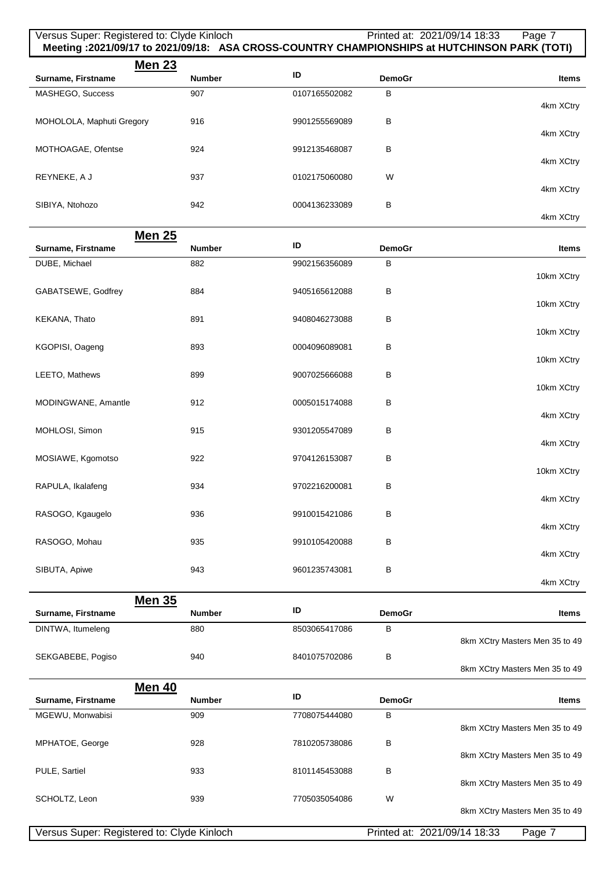## Versus Super: Registered to: Clyde Kinloch Printed at: 2021/09/14 18:33 Page 7 **Meeting :2021/09/17 to 2021/09/18: ASA CROSS-COUNTRY CHAMPIONSHIPS at HUTCHINSON PARK (TOTI) Men 23 Surname, Firstname ID DemoGraphic** *ID* **DemoGraphic** *ID* **DemoGraphic** *I***D</del> <b>Items** MASHEGO, Success 4km XCtry 907 0107165502082 B MOHOLOLA, Maphuti Gregory 4km XCtry 916 9901255569089 B MOTHOAGAE, Ofentse 4km XCtry 924 9912135468087 B REYNEKE, A J 4km XCtry 937 0102175060080 W SIBIYA, Ntohozo 4km XCtry 942 0004136233089 B

|                     | <b>Men 25</b> |               |               |              |
|---------------------|---------------|---------------|---------------|--------------|
| Surname, Firstname  | <b>Number</b> | ID            | <b>DemoGr</b> | <b>Items</b> |
| DUBE, Michael       | 882           | 9902156356089 | в             |              |
|                     |               |               |               | 10km XCtry   |
| GABATSEWE, Godfrey  | 884           | 9405165612088 | В             |              |
|                     |               |               |               | 10km XCtry   |
| KEKANA, Thato       | 891           | 9408046273088 | В             |              |
|                     |               |               |               | 10km XCtry   |
| KGOPISI, Oageng     | 893           | 0004096089081 | В             | 10km XCtry   |
| LEETO, Mathews      | 899           | 9007025666088 | В             |              |
|                     |               |               |               | 10km XCtry   |
| MODINGWANE, Amantle | 912           | 0005015174088 | В             |              |
|                     |               |               |               | 4km XCtry    |
| MOHLOSI, Simon      | 915           | 9301205547089 | В             |              |
|                     |               |               |               | 4km XCtry    |
| MOSIAWE, Kgomotso   | 922           | 9704126153087 | В             |              |
|                     |               |               |               | 10km XCtry   |
| RAPULA, Ikalafeng   | 934           | 9702216200081 | В             |              |
|                     |               |               |               | 4km XCtry    |
| RASOGO, Kgaugelo    | 936           | 9910015421086 | В             | 4km XCtry    |
| RASOGO, Mohau       | 935           | 9910105420088 | В             |              |
|                     |               |               |               | 4km XCtry    |
| SIBUTA, Apiwe       | 943           | 9601235743081 | В             |              |
|                     |               |               |               | 4km XCtry    |
|                     | <b>Men 35</b> |               |               |              |
| Surname, Firstname  | <b>Number</b> | ID            | <b>DemoGr</b> | <b>Items</b> |
| DINTWA Itumeleng    | 880           | 8503065417086 | R.            |              |

| $PII$ is introduced in $RII$ in $RII$ in $RII$ in $RII$ in $RII$ in $RII$ in $RII$ in $RII$ in $RII$ in $RII$ in $RII$ in $RII$ in $RII$ in $RII$ | <b>UUU</b>    | <b>0000000+17000</b> | ັ             | 8km XCtry Masters Men 35 to 49 |
|---------------------------------------------------------------------------------------------------------------------------------------------------|---------------|----------------------|---------------|--------------------------------|
| SEKGABEBE, Pogiso                                                                                                                                 | 940           | 8401075702086        | В             |                                |
|                                                                                                                                                   |               |                      |               | 8km XCtry Masters Men 35 to 49 |
|                                                                                                                                                   | <b>Men 40</b> |                      |               |                                |
| Surname, Firstname                                                                                                                                | <b>Number</b> | ID                   | <b>DemoGr</b> | <b>Items</b>                   |
| MGEWU, Monwabisi                                                                                                                                  | 909           | 7708075444080        | B             |                                |
|                                                                                                                                                   |               |                      |               | 8km XCtry Masters Men 35 to 49 |
| MPHATOE, George                                                                                                                                   | 928           | 7810205738086        | B             |                                |
|                                                                                                                                                   |               |                      |               | 8km XCtry Masters Men 35 to 49 |
| PULE, Sartiel                                                                                                                                     | 933           | 8101145453088        | B             |                                |
|                                                                                                                                                   |               |                      |               | 8km XCtry Masters Men 35 to 49 |
| SCHOLTZ, Leon                                                                                                                                     | 939           | 7705035054086        | W             |                                |
|                                                                                                                                                   |               |                      |               | 8km XCtry Masters Men 35 to 49 |
|                                                                                                                                                   |               |                      |               |                                |

Versus Super: Registered to: Clyde Kinloch Printed at: 2021/09/14 18:33 Page 7